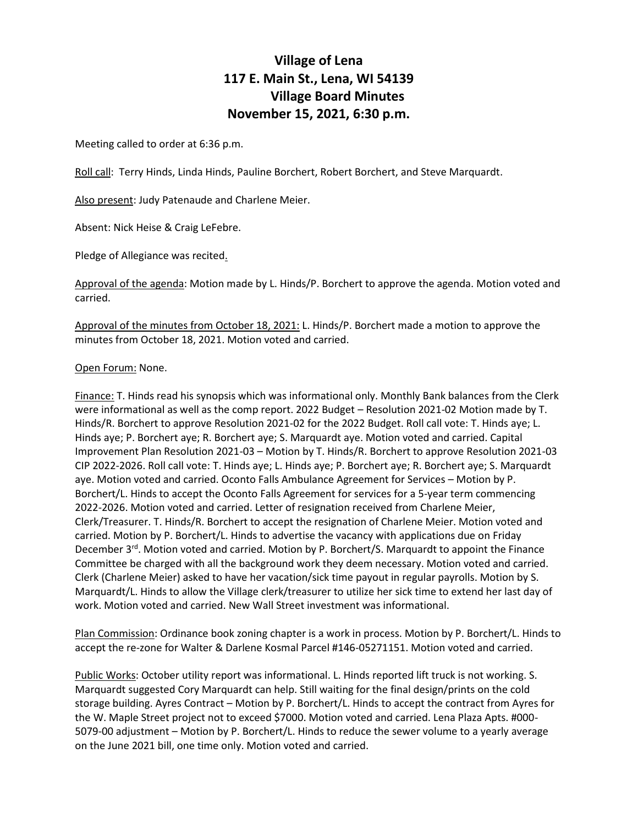## **Village of Lena 117 E. Main St., Lena, WI 54139 Village Board Minutes November 15, 2021, 6:30 p.m.**

Meeting called to order at 6:36 p.m.

Roll call: Terry Hinds, Linda Hinds, Pauline Borchert, Robert Borchert, and Steve Marquardt.

Also present: Judy Patenaude and Charlene Meier.

Absent: Nick Heise & Craig LeFebre.

Pledge of Allegiance was recited.

Approval of the agenda: Motion made by L. Hinds/P. Borchert to approve the agenda. Motion voted and carried.

Approval of the minutes from October 18, 2021: L. Hinds/P. Borchert made a motion to approve the minutes from October 18, 2021. Motion voted and carried.

## Open Forum: None.

Finance: T. Hinds read his synopsis which was informational only. Monthly Bank balances from the Clerk were informational as well as the comp report. 2022 Budget – Resolution 2021-02 Motion made by T. Hinds/R. Borchert to approve Resolution 2021-02 for the 2022 Budget. Roll call vote: T. Hinds aye; L. Hinds aye; P. Borchert aye; R. Borchert aye; S. Marquardt aye. Motion voted and carried. Capital Improvement Plan Resolution 2021-03 – Motion by T. Hinds/R. Borchert to approve Resolution 2021-03 CIP 2022-2026. Roll call vote: T. Hinds aye; L. Hinds aye; P. Borchert aye; R. Borchert aye; S. Marquardt aye. Motion voted and carried. Oconto Falls Ambulance Agreement for Services – Motion by P. Borchert/L. Hinds to accept the Oconto Falls Agreement for services for a 5-year term commencing 2022-2026. Motion voted and carried. Letter of resignation received from Charlene Meier, Clerk/Treasurer. T. Hinds/R. Borchert to accept the resignation of Charlene Meier. Motion voted and carried. Motion by P. Borchert/L. Hinds to advertise the vacancy with applications due on Friday December  $3^{rd}$ . Motion voted and carried. Motion by P. Borchert/S. Marquardt to appoint the Finance Committee be charged with all the background work they deem necessary. Motion voted and carried. Clerk (Charlene Meier) asked to have her vacation/sick time payout in regular payrolls. Motion by S. Marquardt/L. Hinds to allow the Village clerk/treasurer to utilize her sick time to extend her last day of work. Motion voted and carried. New Wall Street investment was informational.

Plan Commission: Ordinance book zoning chapter is a work in process. Motion by P. Borchert/L. Hinds to accept the re-zone for Walter & Darlene Kosmal Parcel #146-05271151. Motion voted and carried.

Public Works: October utility report was informational. L. Hinds reported lift truck is not working. S. Marquardt suggested Cory Marquardt can help. Still waiting for the final design/prints on the cold storage building. Ayres Contract – Motion by P. Borchert/L. Hinds to accept the contract from Ayres for the W. Maple Street project not to exceed \$7000. Motion voted and carried. Lena Plaza Apts. #000- 5079-00 adjustment – Motion by P. Borchert/L. Hinds to reduce the sewer volume to a yearly average on the June 2021 bill, one time only. Motion voted and carried.